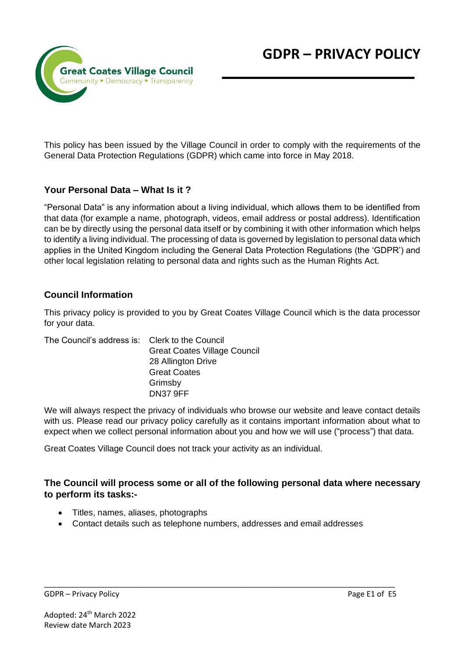

This policy has been issued by the Village Council in order to comply with the requirements of the General Data Protection Regulations (GDPR) which came into force in May 2018.

### **Your Personal Data – What Is it ?**

"Personal Data" is any information about a living individual, which allows them to be identified from that data (for example a name, photograph, videos, email address or postal address). Identification can be by directly using the personal data itself or by combining it with other information which helps to identify a living individual. The processing of data is governed by legislation to personal data which applies in the United Kingdom including the General Data Protection Regulations (the 'GDPR') and other local legislation relating to personal data and rights such as the Human Rights Act.

#### **Council Information**

This privacy policy is provided to you by Great Coates Village Council which is the data processor for your data.

| The Council's address is: Clerk to the Council |                                     |
|------------------------------------------------|-------------------------------------|
|                                                | <b>Great Coates Village Council</b> |
|                                                | 28 Allington Drive                  |
|                                                | <b>Great Coates</b>                 |
|                                                | Grimsby                             |
|                                                | <b>DN37 9FF</b>                     |

We will always respect the privacy of individuals who browse our website and leave contact details with us. Please read our privacy policy carefully as it contains important information about what to expect when we collect personal information about you and how we will use ("process") that data.

Great Coates Village Council does not track your activity as an individual.

### **The Council will process some or all of the following personal data where necessary to perform its tasks:-**

- Titles, names, aliases, photographs
- Contact details such as telephone numbers, addresses and email addresses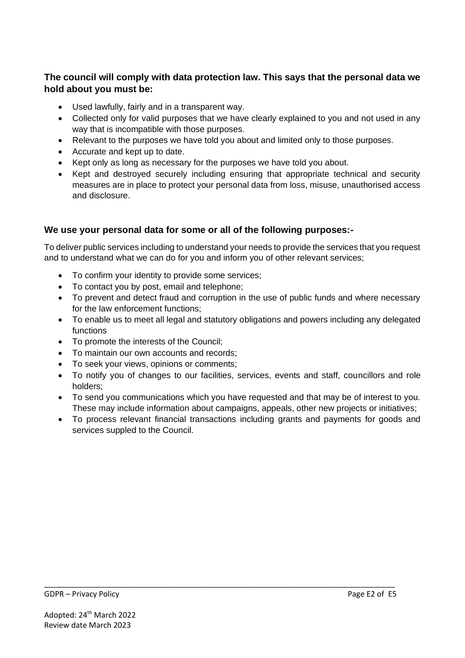# **The council will comply with data protection law. This says that the personal data we hold about you must be:**

- Used lawfully, fairly and in a transparent way.
- Collected only for valid purposes that we have clearly explained to you and not used in any way that is incompatible with those purposes.
- Relevant to the purposes we have told you about and limited only to those purposes.
- Accurate and kept up to date.
- Kept only as long as necessary for the purposes we have told you about.
- Kept and destroyed securely including ensuring that appropriate technical and security measures are in place to protect your personal data from loss, misuse, unauthorised access and disclosure.

# **We use your personal data for some or all of the following purposes:-**

To deliver public services including to understand your needs to provide the services that you request and to understand what we can do for you and inform you of other relevant services;

- To confirm your identity to provide some services;
- To contact you by post, email and telephone;
- To prevent and detect fraud and corruption in the use of public funds and where necessary for the law enforcement functions;
- To enable us to meet all legal and statutory obligations and powers including any delegated functions
- To promote the interests of the Council;
- To maintain our own accounts and records;
- To seek your views, opinions or comments;
- To notify you of changes to our facilities, services, events and staff, councillors and role holders;
- To send you communications which you have requested and that may be of interest to you. These may include information about campaigns, appeals, other new projects or initiatives;
- To process relevant financial transactions including grants and payments for goods and services suppled to the Council.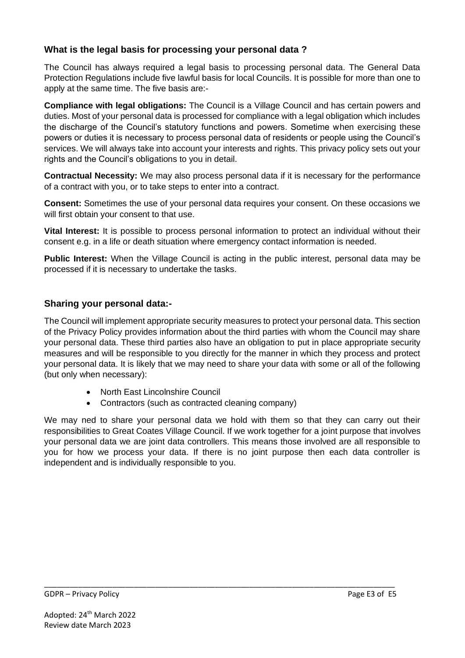# **What is the legal basis for processing your personal data ?**

The Council has always required a legal basis to processing personal data. The General Data Protection Regulations include five lawful basis for local Councils. It is possible for more than one to apply at the same time. The five basis are:-

**Compliance with legal obligations:** The Council is a Village Council and has certain powers and duties. Most of your personal data is processed for compliance with a legal obligation which includes the discharge of the Council's statutory functions and powers. Sometime when exercising these powers or duties it is necessary to process personal data of residents or people using the Council's services. We will always take into account your interests and rights. This privacy policy sets out your rights and the Council's obligations to you in detail.

**Contractual Necessity:** We may also process personal data if it is necessary for the performance of a contract with you, or to take steps to enter into a contract.

**Consent:** Sometimes the use of your personal data requires your consent. On these occasions we will first obtain your consent to that use.

**Vital Interest:** It is possible to process personal information to protect an individual without their consent e.g. in a life or death situation where emergency contact information is needed.

**Public Interest:** When the Village Council is acting in the public interest, personal data may be processed if it is necessary to undertake the tasks.

# **Sharing your personal data:-**

The Council will implement appropriate security measures to protect your personal data. This section of the Privacy Policy provides information about the third parties with whom the Council may share your personal data. These third parties also have an obligation to put in place appropriate security measures and will be responsible to you directly for the manner in which they process and protect your personal data. It is likely that we may need to share your data with some or all of the following (but only when necessary):

- North East Lincolnshire Council
- Contractors (such as contracted cleaning company)

We may ned to share your personal data we hold with them so that they can carry out their responsibilities to Great Coates Village Council. If we work together for a joint purpose that involves your personal data we are joint data controllers. This means those involved are all responsible to you for how we process your data. If there is no joint purpose then each data controller is independent and is individually responsible to you.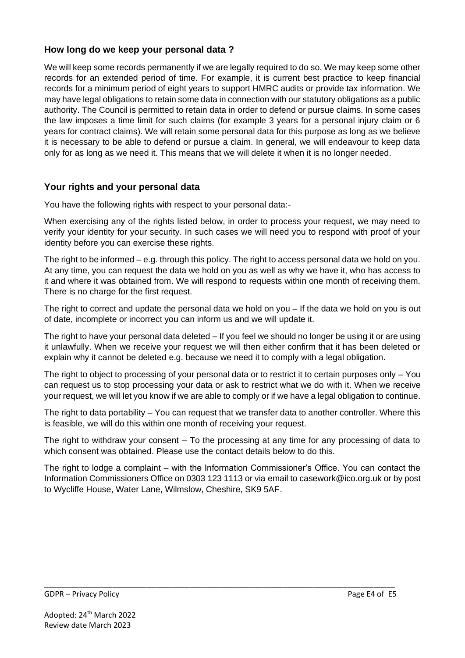## **How long do we keep your personal data ?**

We will keep some records permanently if we are legally required to do so. We may keep some other records for an extended period of time. For example, it is current best practice to keep financial records for a minimum period of eight years to support HMRC audits or provide tax information. We may have legal obligations to retain some data in connection with our statutory obligations as a public authority. The Council is permitted to retain data in order to defend or pursue claims. In some cases the law imposes a time limit for such claims (for example 3 years for a personal injury claim or 6 years for contract claims). We will retain some personal data for this purpose as long as we believe it is necessary to be able to defend or pursue a claim. In general, we will endeavour to keep data only for as long as we need it. This means that we will delete it when it is no longer needed.

# **Your rights and your personal data**

You have the following rights with respect to your personal data:-

When exercising any of the rights listed below, in order to process your request, we may need to verify your identity for your security. In such cases we will need you to respond with proof of your identity before you can exercise these rights.

The right to be informed – e.g. through this policy. The right to access personal data we hold on you. At any time, you can request the data we hold on you as well as why we have it, who has access to it and where it was obtained from. We will respond to requests within one month of receiving them. There is no charge for the first request.

The right to correct and update the personal data we hold on you – If the data we hold on you is out of date, incomplete or incorrect you can inform us and we will update it.

The right to have your personal data deleted – If you feel we should no longer be using it or are using it unlawfully. When we receive your request we will then either confirm that it has been deleted or explain why it cannot be deleted e.g. because we need it to comply with a legal obligation.

The right to object to processing of your personal data or to restrict it to certain purposes only – You can request us to stop processing your data or ask to restrict what we do with it. When we receive your request, we will let you know if we are able to comply or if we have a legal obligation to continue.

The right to data portability – You can request that we transfer data to another controller. Where this is feasible, we will do this within one month of receiving your request.

The right to withdraw your consent – To the processing at any time for any processing of data to which consent was obtained. Please use the contact details below to do this.

The right to lodge a complaint – with the Information Commissioner's Office. You can contact the Information Commissioners Office on 0303 123 1113 or via email to [casework@ico.org.uk](mailto:dataprotectionfee@ico.org.uk) or by post to Wycliffe House, Water Lane, Wilmslow, Cheshire, SK9 5AF.